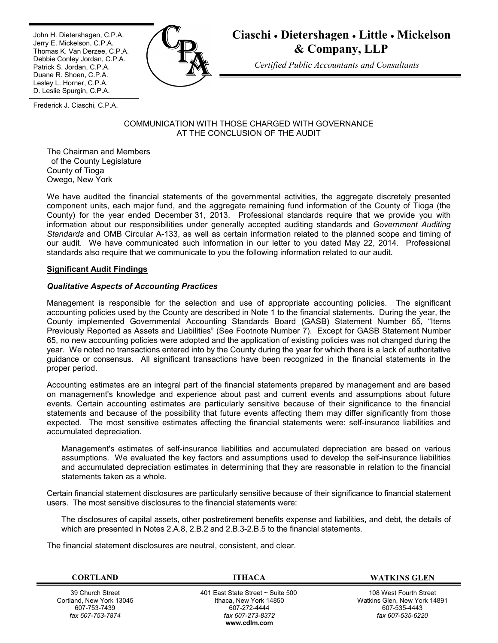Ī John H. Dietershagen, C.P.A. Jerry E. Mickelson, C.P.A. Thomas K. Van Derzee, C.P.A. Debbie Conley Jordan, C.P.A. Patrick S. Jordan, C.P.A. Duane R. Shoen, C.P.A. Lesley L. Horner, C.P.A. D. Leslie Spurgin, C.P.A.



# **Ciaschi Dietershagen Little Mickelson & Company, LLP**

*Certified Public Accountants and Consultants*

Frederick J. Ciaschi, C.P.A.

#### COMMUNICATION WITH THOSE CHARGED WITH GOVERNANCE AT THE CONCLUSION OF THE AUDIT

The Chairman and Members of the County Legislature County of Tioga Owego, New York

We have audited the financial statements of the governmental activities, the aggregate discretely presented component units, each major fund, and the aggregate remaining fund information of the County of Tioga (the County) for the year ended December 31, 2013. Professional standards require that we provide you with information about our responsibilities under generally accepted auditing standards and *Government Auditing Standards* and OMB Circular A-133, as well as certain information related to the planned scope and timing of our audit. We have communicated such information in our letter to you dated May 22, 2014. Professional standards also require that we communicate to you the following information related to our audit.

# **Significant Audit Findings**

# *Qualitative Aspects of Accounting Practices*

Management is responsible for the selection and use of appropriate accounting policies. The significant accounting policies used by the County are described in Note 1 to the financial statements. During the year, the County implemented Governmental Accounting Standards Board (GASB) Statement Number 65, "Items Previously Reported as Assets and Liabilities" (See Footnote Number 7). Except for GASB Statement Number 65, no new accounting policies were adopted and the application of existing policies was not changed during the year. We noted no transactions entered into by the County during the year for which there is a lack of authoritative guidance or consensus. All significant transactions have been recognized in the financial statements in the proper period.

Accounting estimates are an integral part of the financial statements prepared by management and are based on management's knowledge and experience about past and current events and assumptions about future events. Certain accounting estimates are particularly sensitive because of their significance to the financial statements and because of the possibility that future events affecting them may differ significantly from those expected. The most sensitive estimates affecting the financial statements were: self-insurance liabilities and accumulated depreciation.

Management's estimates of self-insurance liabilities and accumulated depreciation are based on various assumptions. We evaluated the key factors and assumptions used to develop the self-insurance liabilities and accumulated depreciation estimates in determining that they are reasonable in relation to the financial statements taken as a whole.

Certain financial statement disclosures are particularly sensitive because of their significance to financial statement users. The most sensitive disclosures to the financial statements were:

The disclosures of capital assets, other postretirement benefits expense and liabilities, and debt, the details of which are presented in Notes 2.A.8, 2.B.2 and 2.B.3-2.B.5 to the financial statements.

The financial statement disclosures are neutral, consistent, and clear.

39 Church Street Cortland, New York 13045 607-753-7439 *fax 607-753-7874*

 401 East State Street ~ Suite 500 Ithaca, New York 14850 607-272-4444 *fax 607-273-8372* **www.cdlm.com**

**CORTLAND ITHACA WATKINS GLEN**

108 West Fourth Street Watkins Glen, New York 14891 607-535-4443 *fax 607-535-6220*